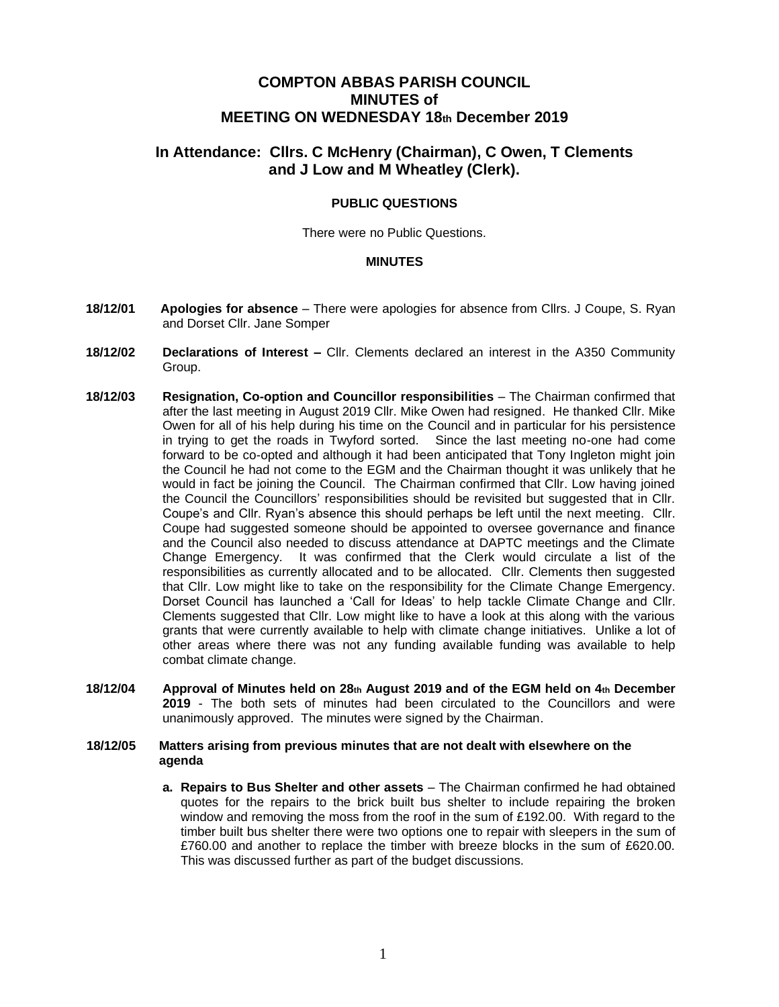## **COMPTON ABBAS PARISH COUNCIL MINUTES of MEETING ON WEDNESDAY 18th December 2019**

# **In Attendance: Cllrs. C McHenry (Chairman), C Owen, T Clements and J Low and M Wheatley (Clerk).**

### **PUBLIC QUESTIONS**

There were no Public Questions.

#### **MINUTES**

- **18/12/01 Apologies for absence**  There were apologies for absence from Cllrs. J Coupe, S. Ryan and Dorset Cllr. Jane Somper
- **18/12/02 Declarations of Interest –** Cllr. Clements declared an interest in the A350 Community Group.
- **18/12/03 Resignation, Co-option and Councillor responsibilities**  The Chairman confirmed that after the last meeting in August 2019 Cllr. Mike Owen had resigned. He thanked Cllr. Mike Owen for all of his help during his time on the Council and in particular for his persistence in trying to get the roads in Twyford sorted. Since the last meeting no-one had come forward to be co-opted and although it had been anticipated that Tony Ingleton might join the Council he had not come to the EGM and the Chairman thought it was unlikely that he would in fact be joining the Council. The Chairman confirmed that Cllr. Low having joined the Council the Councillors' responsibilities should be revisited but suggested that in Cllr. Coupe's and Cllr. Ryan's absence this should perhaps be left until the next meeting. Cllr. Coupe had suggested someone should be appointed to oversee governance and finance and the Council also needed to discuss attendance at DAPTC meetings and the Climate Change Emergency. It was confirmed that the Clerk would circulate a list of the responsibilities as currently allocated and to be allocated. Cllr. Clements then suggested that Cllr. Low might like to take on the responsibility for the Climate Change Emergency. Dorset Council has launched a 'Call for Ideas' to help tackle Climate Change and Cllr. Clements suggested that Cllr. Low might like to have a look at this along with the various grants that were currently available to help with climate change initiatives. Unlike a lot of other areas where there was not any funding available funding was available to help combat climate change.
- **18/12/04 Approval of Minutes held on 28th August 2019 and of the EGM held on 4th December 2019** - The both sets of minutes had been circulated to the Councillors and were unanimously approved. The minutes were signed by the Chairman.

#### **18/12/05 Matters arising from previous minutes that are not dealt with elsewhere on the agenda**

**a. Repairs to Bus Shelter and other assets** – The Chairman confirmed he had obtained quotes for the repairs to the brick built bus shelter to include repairing the broken window and removing the moss from the roof in the sum of £192.00. With regard to the timber built bus shelter there were two options one to repair with sleepers in the sum of £760.00 and another to replace the timber with breeze blocks in the sum of £620.00. This was discussed further as part of the budget discussions.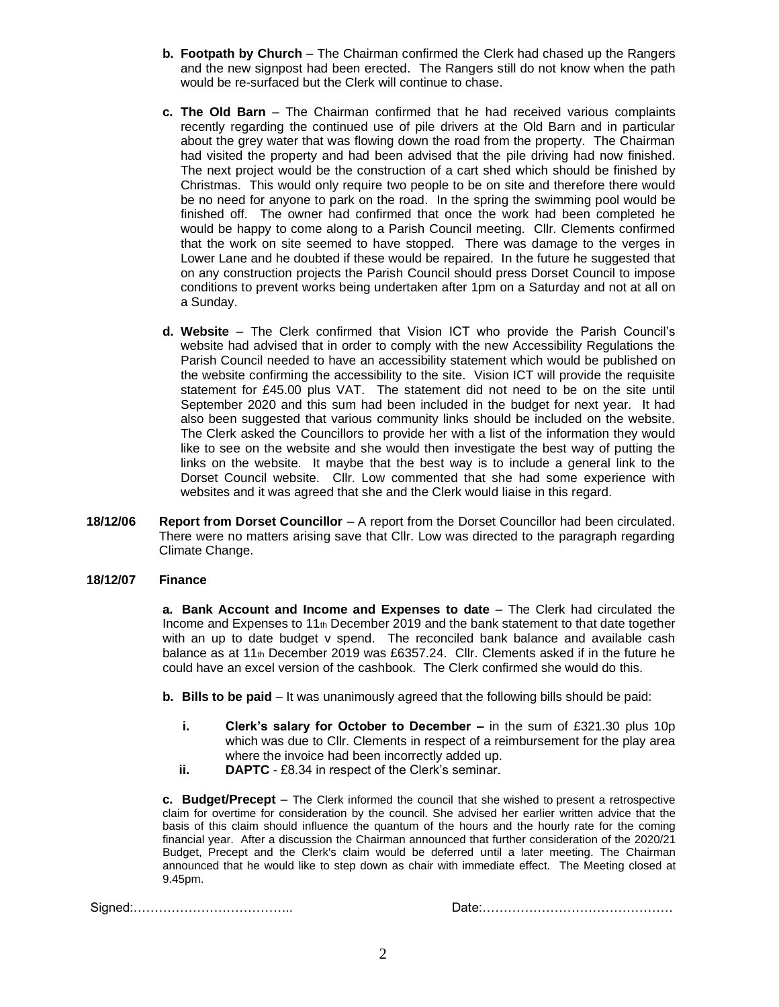- **b. Footpath by Church** The Chairman confirmed the Clerk had chased up the Rangers and the new signpost had been erected. The Rangers still do not know when the path would be re-surfaced but the Clerk will continue to chase.
- **c. The Old Barn** The Chairman confirmed that he had received various complaints recently regarding the continued use of pile drivers at the Old Barn and in particular about the grey water that was flowing down the road from the property. The Chairman had visited the property and had been advised that the pile driving had now finished. The next project would be the construction of a cart shed which should be finished by Christmas. This would only require two people to be on site and therefore there would be no need for anyone to park on the road. In the spring the swimming pool would be finished off. The owner had confirmed that once the work had been completed he would be happy to come along to a Parish Council meeting. Cllr. Clements confirmed that the work on site seemed to have stopped. There was damage to the verges in Lower Lane and he doubted if these would be repaired. In the future he suggested that on any construction projects the Parish Council should press Dorset Council to impose conditions to prevent works being undertaken after 1pm on a Saturday and not at all on a Sunday.
- **d. Website** The Clerk confirmed that Vision ICT who provide the Parish Council's website had advised that in order to comply with the new Accessibility Regulations the Parish Council needed to have an accessibility statement which would be published on the website confirming the accessibility to the site. Vision ICT will provide the requisite statement for £45.00 plus VAT. The statement did not need to be on the site until September 2020 and this sum had been included in the budget for next year. It had also been suggested that various community links should be included on the website. The Clerk asked the Councillors to provide her with a list of the information they would like to see on the website and she would then investigate the best way of putting the links on the website. It maybe that the best way is to include a general link to the Dorset Council website. Cllr. Low commented that she had some experience with websites and it was agreed that she and the Clerk would liaise in this regard.
- **18/12/06 Report from Dorset Councillor** A report from the Dorset Councillor had been circulated. There were no matters arising save that Cllr. Low was directed to the paragraph regarding Climate Change.

#### **18/12/07 Finance**

**a. Bank Account and Income and Expenses to date** – The Clerk had circulated the Income and Expenses to  $11<sub>th</sub>$  December 2019 and the bank statement to that date together with an up to date budget v spend. The reconciled bank balance and available cash balance as at 11<sup>th</sup> December 2019 was £6357.24. Cllr. Clements asked if in the future he could have an excel version of the cashbook. The Clerk confirmed she would do this.

**b. Bills to be paid** – It was unanimously agreed that the following bills should be paid:

- **i. Clerk's salary for October to December –** in the sum of £321.30 plus 10p which was due to Cllr. Clements in respect of a reimbursement for the play area where the invoice had been incorrectly added up.
- **ii. DAPTC**  £8.34 in respect of the Clerk's seminar.

**c. Budget/Precept** – The Clerk informed the council that she wished to present a retrospective claim for overtime for consideration by the council. She advised her earlier written advice that the basis of this claim should influence the quantum of the hours and the hourly rate for the coming financial year. After a discussion the Chairman announced that further consideration of the 2020/21 Budget, Precept and the Clerk's claim would be deferred until a later meeting. The Chairman announced that he would like to step down as chair with immediate effect. The Meeting closed at 9.45pm.

Signed:……………………………….. Date:………………………………………